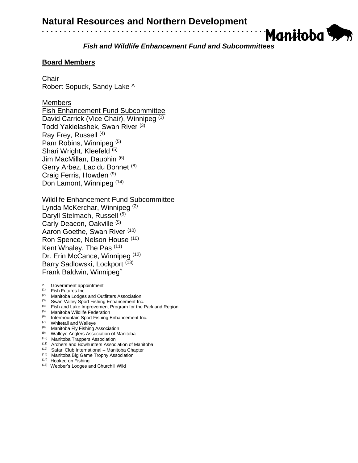*Fish and Wildlife Enhancement Fund and Subcommittees*

Manitoba

# **Board Members**

Chair

Robert Sopuck, Sandy Lake ^

### Members

Fish Enhancement Fund Subcommittee David Carrick (Vice Chair), Winnipeg (1) Todd Yakielashek, Swan River (3) Ray Frey, Russell (4) Pam Robins, Winnipeg (5) Shari Wright, Kleefeld (5) Jim MacMillan, Dauphin (6) Gerry Arbez, Lac du Bonnet (8) Craig Ferris, Howden (9) Don Lamont, Winnipeg (14)

Wildlife Enhancement Fund Subcommittee

Lynda McKerchar, Winnipeg (2) Daryll Stelmach, Russell<sup>(5)</sup> Carly Deacon, Oakville (5) Aaron Goethe, Swan River (10) Ron Spence, Nelson House (10) Kent Whaley, The Pas (11) Dr. Erin McCance, Winnipeg (12) Barry Sadlowski, Lockport<sup>(13)</sup> Frank Baldwin, Winnipeg^

- ^ Government appointment
- (1) Fish Futures Inc.
- <sup>(2)</sup> Manitoba Lodges and Outfitters Association.
- <sup>(3)</sup> Swan Valley Sport Fishing Enhancement Inc.
- $<sup>(4)</sup>$  Fish and Lake Improvement Program for the Parkland Region</sup>
- (5) Manitoba Wildlife Federation
- <sup>(6)</sup> Intermountain Sport Fishing Enhancement Inc.
- (7) Whitetail and Walleye
- <sup>(8)</sup> Manitoba Fly Fishing Association
- <sup>(9)</sup> Walleye Anglers Association of Manitoba
- <sup>(10)</sup> Manitoba Trappers Association
- (11) Archers and Bowhunters Association of Manitoba
- (12) Safari Club International Manitoba Chapter
- (13) Manitoba Big Game Trophy Association
- (14) Hooked on Fishing
- (15) Webber's Lodges and Churchill Wild